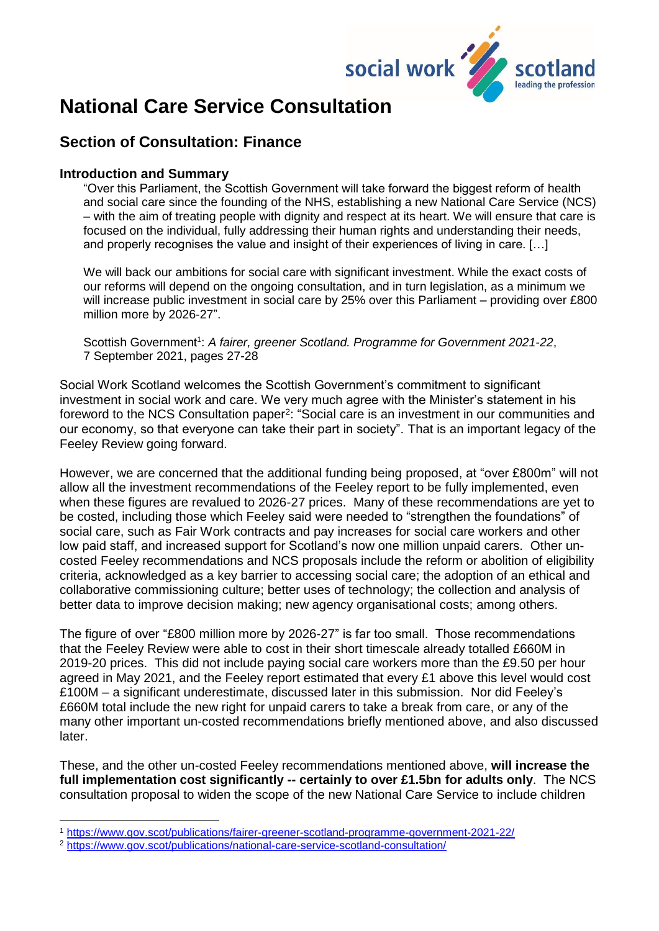

# **National Care Service Consultation**

## **Section of Consultation: Finance**

#### **Introduction and Summary**

"Over this Parliament, the Scottish Government will take forward the biggest reform of health and social care since the founding of the NHS, establishing a new National Care Service (NCS) – with the aim of treating people with dignity and respect at its heart. We will ensure that care is focused on the individual, fully addressing their human rights and understanding their needs, and properly recognises the value and insight of their experiences of living in care. […]

We will back our ambitions for social care with significant investment. While the exact costs of our reforms will depend on the ongoing consultation, and in turn legislation, as a minimum we will increase public investment in social care by 25% over this Parliament – providing over £800 million more by 2026-27".

Scottish Government<sup>1</sup>: A fairer, greener Scotland. Programme for Government 2021-22, 7 September 2021, pages 27-28

Social Work Scotland welcomes the Scottish Government's commitment to significant investment in social work and care. We very much agree with the Minister's statement in his foreword to the NCS Consultation paper<sup>2</sup>: "Social care is an investment in our communities and our economy, so that everyone can take their part in society". That is an important legacy of the Feeley Review going forward.

However, we are concerned that the additional funding being proposed, at "over £800m" will not allow all the investment recommendations of the Feeley report to be fully implemented, even when these figures are revalued to 2026-27 prices. Many of these recommendations are yet to be costed, including those which Feeley said were needed to "strengthen the foundations" of social care, such as Fair Work contracts and pay increases for social care workers and other low paid staff, and increased support for Scotland's now one million unpaid carers. Other uncosted Feeley recommendations and NCS proposals include the reform or abolition of eligibility criteria, acknowledged as a key barrier to accessing social care; the adoption of an ethical and collaborative commissioning culture; better uses of technology; the collection and analysis of better data to improve decision making; new agency organisational costs; among others.

The figure of over "£800 million more by 2026-27" is far too small. Those recommendations that the Feeley Review were able to cost in their short timescale already totalled £660M in 2019-20 prices. This did not include paying social care workers more than the £9.50 per hour agreed in May 2021, and the Feeley report estimated that every £1 above this level would cost £100M – a significant underestimate, discussed later in this submission. Nor did Feeley's £660M total include the new right for unpaid carers to take a break from care, or any of the many other important un-costed recommendations briefly mentioned above, and also discussed later.

These, and the other un-costed Feeley recommendations mentioned above, **will increase the full implementation cost significantly -- certainly to over £1.5bn for adults only**. The NCS consultation proposal to widen the scope of the new National Care Service to include children

<sup>1</sup> [https://www.gov.scot/publications/fairer-greener-scotland-programme-government-2021-22/](about:blank)

<sup>2</sup> <https://www.gov.scot/publications/national-care-service-scotland-consultation/>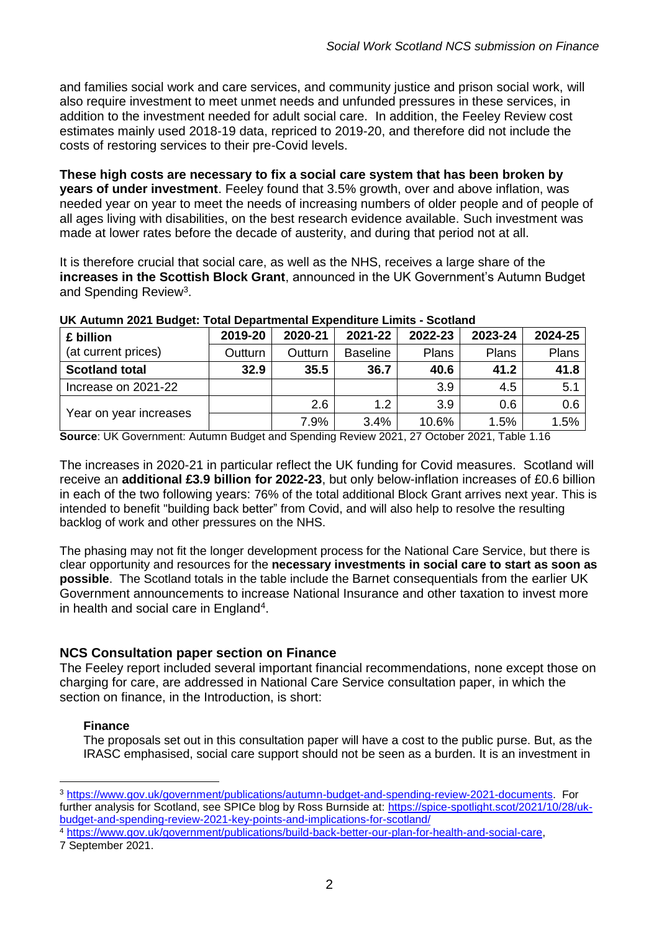and families social work and care services, and community justice and prison social work, will also require investment to meet unmet needs and unfunded pressures in these services, in addition to the investment needed for adult social care. In addition, the Feeley Review cost estimates mainly used 2018-19 data, repriced to 2019-20, and therefore did not include the costs of restoring services to their pre-Covid levels.

**These high costs are necessary to fix a social care system that has been broken by years of under investment**. Feeley found that 3.5% growth, over and above inflation, was needed year on year to meet the needs of increasing numbers of older people and of people of all ages living with disabilities, on the best research evidence available. Such investment was made at lower rates before the decade of austerity, and during that period not at all.

It is therefore crucial that social care, as well as the NHS, receives a large share of the **increases in the Scottish Block Grant**, announced in the UK Government's Autumn Budget and Spending Review<sup>3</sup>.

| £ billion<br>(at current prices) | 2019-20 | 2020-21 | 2021-22         | 2022-23 | 2023-24 | 2024-25 |
|----------------------------------|---------|---------|-----------------|---------|---------|---------|
|                                  | Outturn | Outturn | <b>Baseline</b> | Plans   | Plans   | Plans   |
| <b>Scotland total</b>            | 32.9    | 35.5    | 36.7            | 40.6    | 41.2    | 41.8    |
| Increase on 2021-22              |         |         |                 | 3.9     | 4.5     | 5.1     |
| Year on year increases           |         | 2.6     | 1.2             | 3.9     | 0.6     | 0.6     |
|                                  |         | 7.9%    | 3.4%            | 10.6%   | 1.5%    | 1.5%    |

#### **UK Autumn 2021 Budget: Total Departmental Expenditure Limits - Scotland**

**Source**: UK Government: Autumn Budget and Spending Review 2021, 27 October 2021, Table 1.16

The increases in 2020-21 in particular reflect the UK funding for Covid measures. Scotland will receive an **additional £3.9 billion for 2022-23**, but only below-inflation increases of £0.6 billion in each of the two following years: 76% of the total additional Block Grant arrives next year. This is intended to benefit "building back better" from Covid, and will also help to resolve the resulting backlog of work and other pressures on the NHS.

The phasing may not fit the longer development process for the National Care Service, but there is clear opportunity and resources for the **necessary investments in social care to start as soon as possible**. The Scotland totals in the table include the Barnet consequentials from the earlier UK Government announcements to increase National Insurance and other taxation to invest more in health and social care in England<sup>4</sup>.

#### **NCS Consultation paper section on Finance**

The Feeley report included several important financial recommendations, none except those on charging for care, are addressed in National Care Service consultation paper, in which the section on finance, in the Introduction, is short:

#### **Finance**

1

The proposals set out in this consultation paper will have a cost to the public purse. But, as the IRASC emphasised, social care support should not be seen as a burden. It is an investment in

<sup>4</sup> [https://www.gov.uk/government/publications/build-back-better-our-plan-for-health-and-social-care,](https://www.gov.uk/government/publications/build-back-better-our-plan-for-health-and-social-care)

7 September 2021.

<sup>3</sup> [https://www.gov.uk/government/publications/autumn-budget-and-spending-review-2021-documents.](https://www.gov.uk/government/publications/autumn-budget-and-spending-review-2021-documents) For further analysis for Scotland, see SPICe blog by Ross Burnside at: [https://spice-spotlight.scot/2021/10/28/uk](https://spice-spotlight.scot/2021/10/28/uk-budget-and-spending-review-2021-key-points-and-implications-for-scotland/)[budget-and-spending-review-2021-key-points-and-implications-for-scotland/](https://spice-spotlight.scot/2021/10/28/uk-budget-and-spending-review-2021-key-points-and-implications-for-scotland/)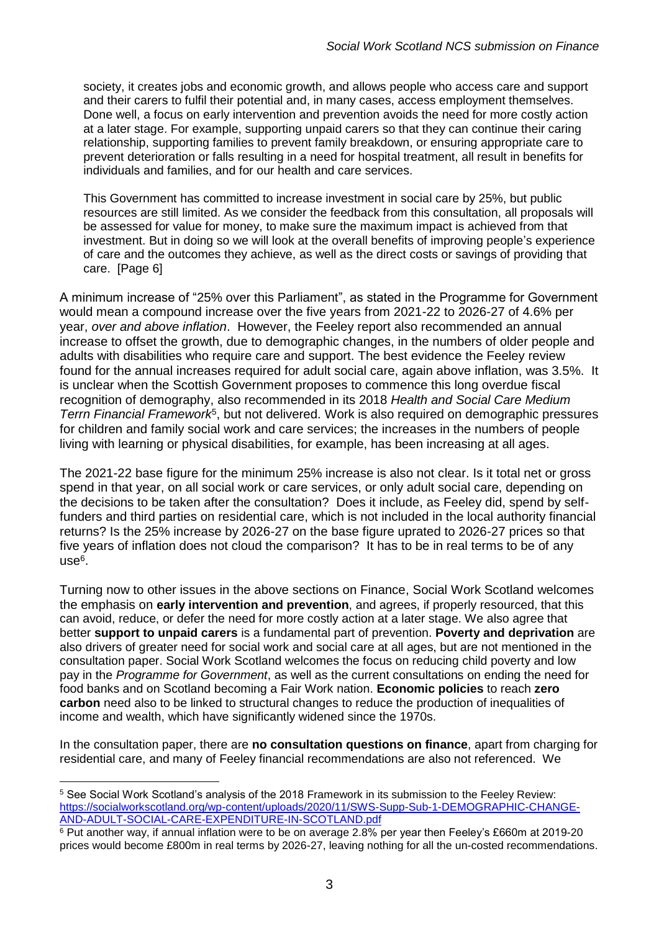society, it creates jobs and economic growth, and allows people who access care and support and their carers to fulfil their potential and, in many cases, access employment themselves. Done well, a focus on early intervention and prevention avoids the need for more costly action at a later stage. For example, supporting unpaid carers so that they can continue their caring relationship, supporting families to prevent family breakdown, or ensuring appropriate care to prevent deterioration or falls resulting in a need for hospital treatment, all result in benefits for individuals and families, and for our health and care services.

This Government has committed to increase investment in social care by 25%, but public resources are still limited. As we consider the feedback from this consultation, all proposals will be assessed for value for money, to make sure the maximum impact is achieved from that investment. But in doing so we will look at the overall benefits of improving people's experience of care and the outcomes they achieve, as well as the direct costs or savings of providing that care. [Page 6]

A minimum increase of "25% over this Parliament", as stated in the Programme for Government would mean a compound increase over the five years from 2021-22 to 2026-27 of 4.6% per year, *over and above inflation*. However, the Feeley report also recommended an annual increase to offset the growth, due to demographic changes, in the numbers of older people and adults with disabilities who require care and support. The best evidence the Feeley review found for the annual increases required for adult social care, again above inflation, was 3.5%. It is unclear when the Scottish Government proposes to commence this long overdue fiscal recognition of demography, also recommended in its 2018 *Health and Social Care Medium Terrn Financial Framework*<sup>5</sup> , but not delivered. Work is also required on demographic pressures for children and family social work and care services; the increases in the numbers of people living with learning or physical disabilities, for example, has been increasing at all ages.

The 2021-22 base figure for the minimum 25% increase is also not clear. Is it total net or gross spend in that year, on all social work or care services, or only adult social care, depending on the decisions to be taken after the consultation? Does it include, as Feeley did, spend by selffunders and third parties on residential care, which is not included in the local authority financial returns? Is the 25% increase by 2026-27 on the base figure uprated to 2026-27 prices so that five years of inflation does not cloud the comparison? It has to be in real terms to be of any use<sup>6</sup>.

Turning now to other issues in the above sections on Finance, Social Work Scotland welcomes the emphasis on **early intervention and prevention**, and agrees, if properly resourced, that this can avoid, reduce, or defer the need for more costly action at a later stage. We also agree that better **support to unpaid carers** is a fundamental part of prevention. **Poverty and deprivation** are also drivers of greater need for social work and social care at all ages, but are not mentioned in the consultation paper. Social Work Scotland welcomes the focus on reducing child poverty and low pay in the *Programme for Government*, as well as the current consultations on ending the need for food banks and on Scotland becoming a Fair Work nation. **Economic policies** to reach **zero carbon** need also to be linked to structural changes to reduce the production of inequalities of income and wealth, which have significantly widened since the 1970s.

In the consultation paper, there are **no consultation questions on finance**, apart from charging for residential care, and many of Feeley financial recommendations are also not referenced. We

<sup>5</sup> See Social Work Scotland's analysis of the 2018 Framework in its submission to the Feeley Review: [https://socialworkscotland.org/wp-content/uploads/2020/11/SWS-Supp-Sub-1-DEMOGRAPHIC-CHANGE-](https://socialworkscotland.org/wp-content/uploads/2020/11/SWS-Supp-Sub-1-DEMOGRAPHIC-CHANGE-AND-ADULT-SOCIAL-CARE-EXPENDITURE-IN-SCOTLAND.pdf)[AND-ADULT-SOCIAL-CARE-EXPENDITURE-IN-SCOTLAND.pdf](https://socialworkscotland.org/wp-content/uploads/2020/11/SWS-Supp-Sub-1-DEMOGRAPHIC-CHANGE-AND-ADULT-SOCIAL-CARE-EXPENDITURE-IN-SCOTLAND.pdf)

<sup>6</sup> Put another way, if annual inflation were to be on average 2.8% per year then Feeley's £660m at 2019-20 prices would become £800m in real terms by 2026-27, leaving nothing for all the un-costed recommendations.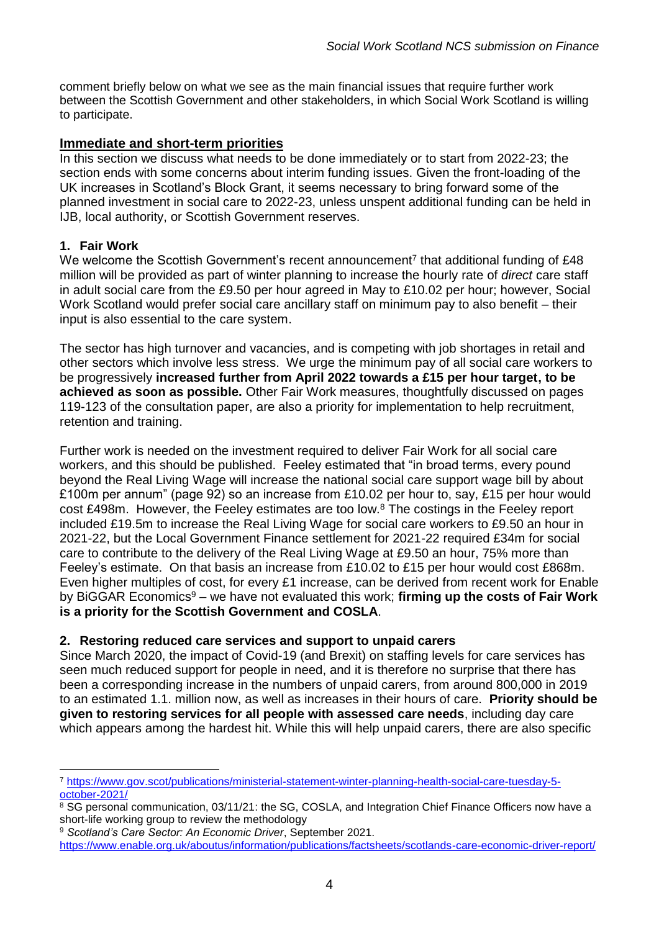comment briefly below on what we see as the main financial issues that require further work between the Scottish Government and other stakeholders, in which Social Work Scotland is willing to participate.

#### **Immediate and short-term priorities**

In this section we discuss what needs to be done immediately or to start from 2022-23; the section ends with some concerns about interim funding issues. Given the front-loading of the UK increases in Scotland's Block Grant, it seems necessary to bring forward some of the planned investment in social care to 2022-23, unless unspent additional funding can be held in IJB, local authority, or Scottish Government reserves.

#### **1. Fair Work**

1

We welcome the Scottish Government's recent announcement<sup>7</sup> that additional funding of £48 million will be provided as part of winter planning to increase the hourly rate of *direct* care staff in adult social care from the £9.50 per hour agreed in May to £10.02 per hour; however, Social Work Scotland would prefer social care ancillary staff on minimum pay to also benefit – their input is also essential to the care system.

The sector has high turnover and vacancies, and is competing with job shortages in retail and other sectors which involve less stress. We urge the minimum pay of all social care workers to be progressively **increased further from April 2022 towards a £15 per hour target, to be achieved as soon as possible.** Other Fair Work measures, thoughtfully discussed on pages 119-123 of the consultation paper, are also a priority for implementation to help recruitment, retention and training.

Further work is needed on the investment required to deliver Fair Work for all social care workers, and this should be published. Feeley estimated that "in broad terms, every pound beyond the Real Living Wage will increase the national social care support wage bill by about £100m per annum" (page 92) so an increase from £10.02 per hour to, say, £15 per hour would cost £498m. However, the Feeley estimates are too low.<sup>8</sup> The costings in the Feeley report included £19.5m to increase the Real Living Wage for social care workers to £9.50 an hour in 2021-22, but the Local Government Finance settlement for 2021-22 required £34m for social care to contribute to the delivery of the Real Living Wage at £9.50 an hour, 75% more than Feeley's estimate. On that basis an increase from £10.02 to £15 per hour would cost £868m. Even higher multiples of cost, for every £1 increase, can be derived from recent work for Enable by BiGGAR Economics<sup>9</sup> – we have not evaluated this work; **firming up the costs of Fair Work is a priority for the Scottish Government and COSLA**.

#### **2. Restoring reduced care services and support to unpaid carers**

Since March 2020, the impact of Covid-19 (and Brexit) on staffing levels for care services has seen much reduced support for people in need, and it is therefore no surprise that there has been a corresponding increase in the numbers of unpaid carers, from around 800,000 in 2019 to an estimated 1.1. million now, as well as increases in their hours of care. **Priority should be given to restoring services for all people with assessed care needs**, including day care which appears among the hardest hit. While this will help unpaid carers, there are also specific

<sup>7</sup> [https://www.gov.scot/publications/ministerial-statement-winter-planning-health-social-care-tuesday-5](https://www.gov.scot/publications/ministerial-statement-winter-planning-health-social-care-tuesday-5-october-2021/) [october-2021/](https://www.gov.scot/publications/ministerial-statement-winter-planning-health-social-care-tuesday-5-october-2021/)

 $8$  SG personal communication, 03/11/21: the SG, COSLA, and Integration Chief Finance Officers now have a short-life working group to review the methodology

<sup>9</sup> *Scotland's Care Sector: An Economic Driver*, September 2021.

[https://www.enable.org.uk/aboutus/information/publications/factsheets/scotlands-care-economic-driver-report/](about:blank)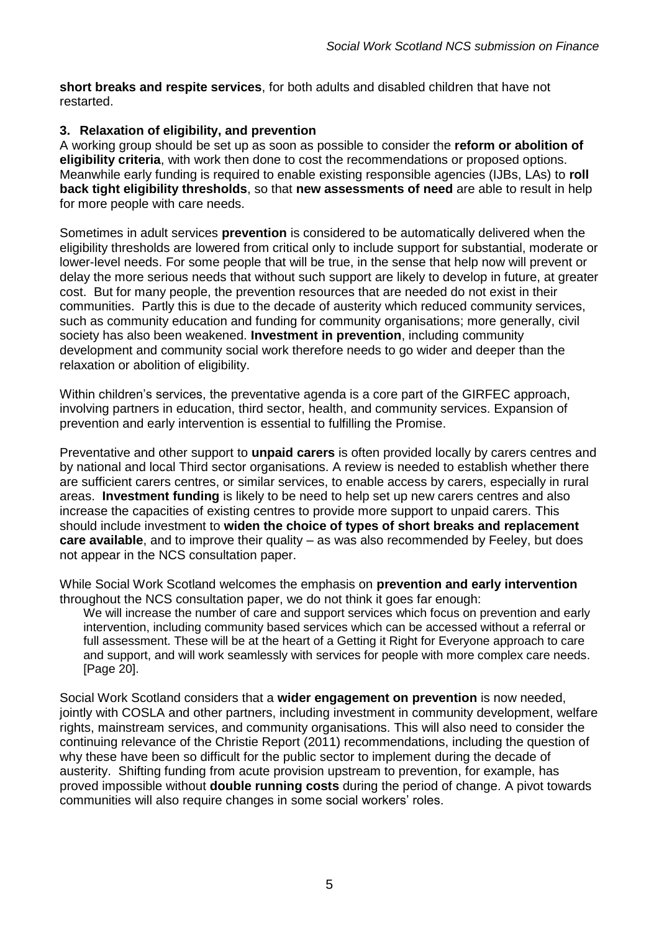**short breaks and respite services**, for both adults and disabled children that have not restarted.

#### **3. Relaxation of eligibility, and prevention**

A working group should be set up as soon as possible to consider the **reform or abolition of eligibility criteria**, with work then done to cost the recommendations or proposed options. Meanwhile early funding is required to enable existing responsible agencies (IJBs, LAs) to **roll back tight eligibility thresholds**, so that **new assessments of need** are able to result in help for more people with care needs.

Sometimes in adult services **prevention** is considered to be automatically delivered when the eligibility thresholds are lowered from critical only to include support for substantial, moderate or lower-level needs. For some people that will be true, in the sense that help now will prevent or delay the more serious needs that without such support are likely to develop in future, at greater cost. But for many people, the prevention resources that are needed do not exist in their communities. Partly this is due to the decade of austerity which reduced community services, such as community education and funding for community organisations; more generally, civil society has also been weakened. **Investment in prevention**, including community development and community social work therefore needs to go wider and deeper than the relaxation or abolition of eligibility.

Within children's services, the preventative agenda is a core part of the GIRFEC approach, involving partners in education, third sector, health, and community services. Expansion of prevention and early intervention is essential to fulfilling the Promise.

Preventative and other support to **unpaid carers** is often provided locally by carers centres and by national and local Third sector organisations. A review is needed to establish whether there are sufficient carers centres, or similar services, to enable access by carers, especially in rural areas. **Investment funding** is likely to be need to help set up new carers centres and also increase the capacities of existing centres to provide more support to unpaid carers. This should include investment to **widen the choice of types of short breaks and replacement care available**, and to improve their quality – as was also recommended by Feeley, but does not appear in the NCS consultation paper.

While Social Work Scotland welcomes the emphasis on **prevention and early intervention** throughout the NCS consultation paper, we do not think it goes far enough:

We will increase the number of care and support services which focus on prevention and early intervention, including community based services which can be accessed without a referral or full assessment. These will be at the heart of a Getting it Right for Everyone approach to care and support, and will work seamlessly with services for people with more complex care needs. [Page 20].

Social Work Scotland considers that a **wider engagement on prevention** is now needed, jointly with COSLA and other partners, including investment in community development, welfare rights, mainstream services, and community organisations. This will also need to consider the continuing relevance of the Christie Report (2011) recommendations, including the question of why these have been so difficult for the public sector to implement during the decade of austerity. Shifting funding from acute provision upstream to prevention, for example, has proved impossible without **double running costs** during the period of change. A pivot towards communities will also require changes in some social workers' roles.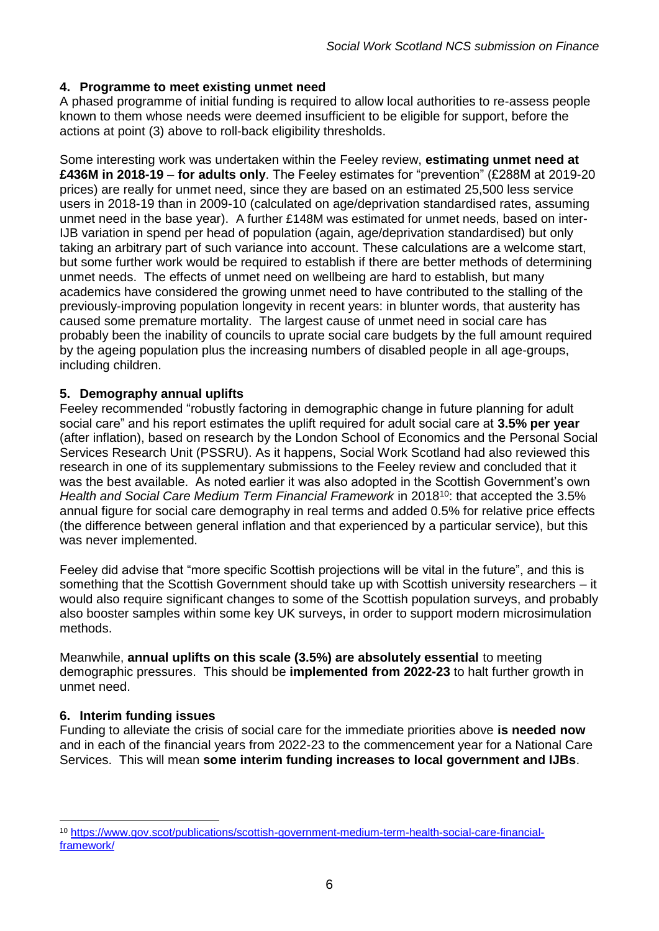### **4. Programme to meet existing unmet need**

A phased programme of initial funding is required to allow local authorities to re-assess people known to them whose needs were deemed insufficient to be eligible for support, before the actions at point (3) above to roll-back eligibility thresholds.

Some interesting work was undertaken within the Feeley review, **estimating unmet need at £436M in 2018-19** – **for adults only**. The Feeley estimates for "prevention" (£288M at 2019-20 prices) are really for unmet need, since they are based on an estimated 25,500 less service users in 2018-19 than in 2009-10 (calculated on age/deprivation standardised rates, assuming unmet need in the base year). A further £148M was estimated for unmet needs, based on inter-IJB variation in spend per head of population (again, age/deprivation standardised) but only taking an arbitrary part of such variance into account. These calculations are a welcome start, but some further work would be required to establish if there are better methods of determining unmet needs. The effects of unmet need on wellbeing are hard to establish, but many academics have considered the growing unmet need to have contributed to the stalling of the previously-improving population longevity in recent years: in blunter words, that austerity has caused some premature mortality. The largest cause of unmet need in social care has probably been the inability of councils to uprate social care budgets by the full amount required by the ageing population plus the increasing numbers of disabled people in all age-groups, including children.

#### **5. Demography annual uplifts**

Feeley recommended "robustly factoring in demographic change in future planning for adult social care" and his report estimates the uplift required for adult social care at **3.5% per year** (after inflation), based on research by the London School of Economics and the Personal Social Services Research Unit (PSSRU). As it happens, Social Work Scotland had also reviewed this research in one of its supplementary submissions to the Feeley review and concluded that it was the best available. As noted earlier it was also adopted in the Scottish Government's own *Health and Social Care Medium Term Financial Framework* in 2018<sup>10</sup>: that accepted the 3.5% annual figure for social care demography in real terms and added 0.5% for relative price effects (the difference between general inflation and that experienced by a particular service), but this was never implemented.

Feeley did advise that "more specific Scottish projections will be vital in the future", and this is something that the Scottish Government should take up with Scottish university researchers – it would also require significant changes to some of the Scottish population surveys, and probably also booster samples within some key UK surveys, in order to support modern microsimulation methods.

Meanwhile, **annual uplifts on this scale (3.5%) are absolutely essential** to meeting demographic pressures. This should be **implemented from 2022-23** to halt further growth in unmet need.

#### **6. Interim funding issues**

1

Funding to alleviate the crisis of social care for the immediate priorities above **is needed now** and in each of the financial years from 2022-23 to the commencement year for a National Care Services. This will mean **some interim funding increases to local government and IJBs**.

<sup>10</sup> [https://www.gov.scot/publications/scottish-government-medium-term-health-social-care-financial](https://www.gov.scot/publications/scottish-government-medium-term-health-social-care-financial-framework/)[framework/](https://www.gov.scot/publications/scottish-government-medium-term-health-social-care-financial-framework/)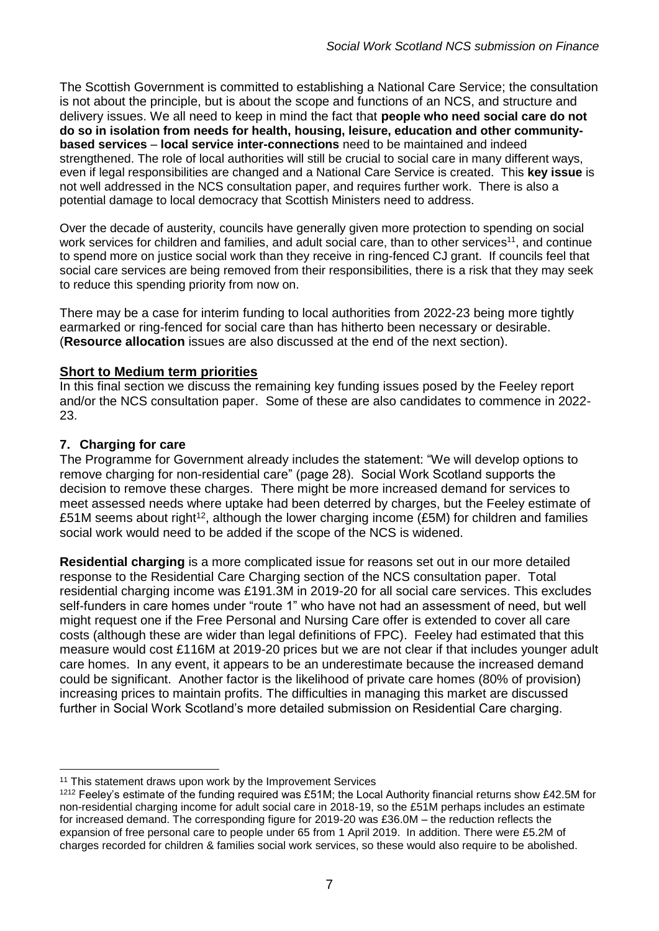The Scottish Government is committed to establishing a National Care Service; the consultation is not about the principle, but is about the scope and functions of an NCS, and structure and delivery issues. We all need to keep in mind the fact that **people who need social care do not do so in isolation from needs for health, housing, leisure, education and other communitybased services** – **local service inter-connections** need to be maintained and indeed strengthened. The role of local authorities will still be crucial to social care in many different ways, even if legal responsibilities are changed and a National Care Service is created. This **key issue** is not well addressed in the NCS consultation paper, and requires further work. There is also a potential damage to local democracy that Scottish Ministers need to address.

Over the decade of austerity, councils have generally given more protection to spending on social work services for children and families, and adult social care, than to other services<sup>11</sup>, and continue to spend more on justice social work than they receive in ring-fenced CJ grant. If councils feel that social care services are being removed from their responsibilities, there is a risk that they may seek to reduce this spending priority from now on.

There may be a case for interim funding to local authorities from 2022-23 being more tightly earmarked or ring-fenced for social care than has hitherto been necessary or desirable. (**Resource allocation** issues are also discussed at the end of the next section).

#### **Short to Medium term priorities**

In this final section we discuss the remaining key funding issues posed by the Feeley report and/or the NCS consultation paper. Some of these are also candidates to commence in 2022- 23.

#### **7. Charging for care**

1

The Programme for Government already includes the statement: "We will develop options to remove charging for non-residential care" (page 28). Social Work Scotland supports the decision to remove these charges. There might be more increased demand for services to meet assessed needs where uptake had been deterred by charges, but the Feeley estimate of £51M seems about right<sup>12</sup>, although the lower charging income (£5M) for children and families social work would need to be added if the scope of the NCS is widened.

**Residential charging** is a more complicated issue for reasons set out in our more detailed response to the Residential Care Charging section of the NCS consultation paper. Total residential charging income was £191.3M in 2019-20 for all social care services. This excludes self-funders in care homes under "route 1" who have not had an assessment of need, but well might request one if the Free Personal and Nursing Care offer is extended to cover all care costs (although these are wider than legal definitions of FPC). Feeley had estimated that this measure would cost £116M at 2019-20 prices but we are not clear if that includes younger adult care homes. In any event, it appears to be an underestimate because the increased demand could be significant. Another factor is the likelihood of private care homes (80% of provision) increasing prices to maintain profits. The difficulties in managing this market are discussed further in Social Work Scotland's more detailed submission on Residential Care charging.

<sup>&</sup>lt;sup>11</sup> This statement draws upon work by the Improvement Services

<sup>1212</sup> Feeley's estimate of the funding required was £51M; the Local Authority financial returns show £42.5M for non-residential charging income for adult social care in 2018-19, so the £51M perhaps includes an estimate for increased demand. The corresponding figure for 2019-20 was £36.0M – the reduction reflects the expansion of free personal care to people under 65 from 1 April 2019. In addition. There were £5.2M of charges recorded for children & families social work services, so these would also require to be abolished.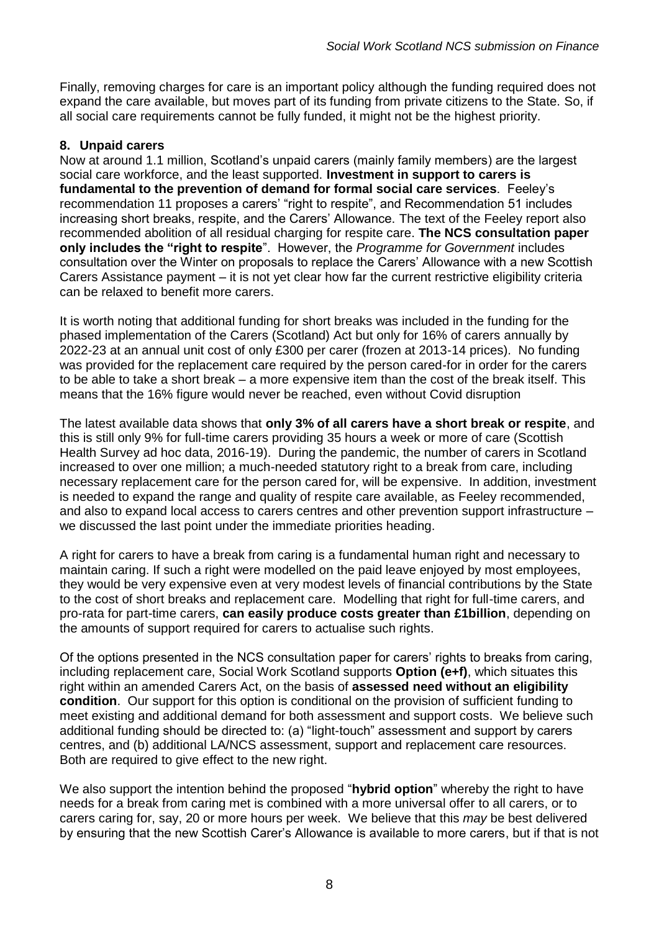Finally, removing charges for care is an important policy although the funding required does not expand the care available, but moves part of its funding from private citizens to the State. So, if all social care requirements cannot be fully funded, it might not be the highest priority.

#### **8. Unpaid carers**

Now at around 1.1 million, Scotland's unpaid carers (mainly family members) are the largest social care workforce, and the least supported. **Investment in support to carers is fundamental to the prevention of demand for formal social care services**. Feeley's recommendation 11 proposes a carers' "right to respite", and Recommendation 51 includes increasing short breaks, respite, and the Carers' Allowance. The text of the Feeley report also recommended abolition of all residual charging for respite care. **The NCS consultation paper only includes the "right to respite**". However, the *Programme for Government* includes consultation over the Winter on proposals to replace the Carers' Allowance with a new Scottish Carers Assistance payment – it is not yet clear how far the current restrictive eligibility criteria can be relaxed to benefit more carers.

It is worth noting that additional funding for short breaks was included in the funding for the phased implementation of the Carers (Scotland) Act but only for 16% of carers annually by 2022-23 at an annual unit cost of only £300 per carer (frozen at 2013-14 prices). No funding was provided for the replacement care required by the person cared-for in order for the carers to be able to take a short break – a more expensive item than the cost of the break itself. This means that the 16% figure would never be reached, even without Covid disruption

The latest available data shows that **only 3% of all carers have a short break or respite**, and this is still only 9% for full-time carers providing 35 hours a week or more of care (Scottish Health Survey ad hoc data, 2016-19). During the pandemic, the number of carers in Scotland increased to over one million; a much-needed statutory right to a break from care, including necessary replacement care for the person cared for, will be expensive. In addition, investment is needed to expand the range and quality of respite care available, as Feeley recommended, and also to expand local access to carers centres and other prevention support infrastructure – we discussed the last point under the immediate priorities heading.

A right for carers to have a break from caring is a fundamental human right and necessary to maintain caring. If such a right were modelled on the paid leave enjoyed by most employees, they would be very expensive even at very modest levels of financial contributions by the State to the cost of short breaks and replacement care. Modelling that right for full-time carers, and pro-rata for part-time carers, **can easily produce costs greater than £1billion**, depending on the amounts of support required for carers to actualise such rights.

Of the options presented in the NCS consultation paper for carers' rights to breaks from caring, including replacement care, Social Work Scotland supports **Option (e+f)**, which situates this right within an amended Carers Act, on the basis of **assessed need without an eligibility condition**. Our support for this option is conditional on the provision of sufficient funding to meet existing and additional demand for both assessment and support costs. We believe such additional funding should be directed to: (a) "light-touch" assessment and support by carers centres, and (b) additional LA/NCS assessment, support and replacement care resources. Both are required to give effect to the new right.

We also support the intention behind the proposed "**hybrid option**" whereby the right to have needs for a break from caring met is combined with a more universal offer to all carers, or to carers caring for, say, 20 or more hours per week. We believe that this *may* be best delivered by ensuring that the new Scottish Carer's Allowance is available to more carers, but if that is not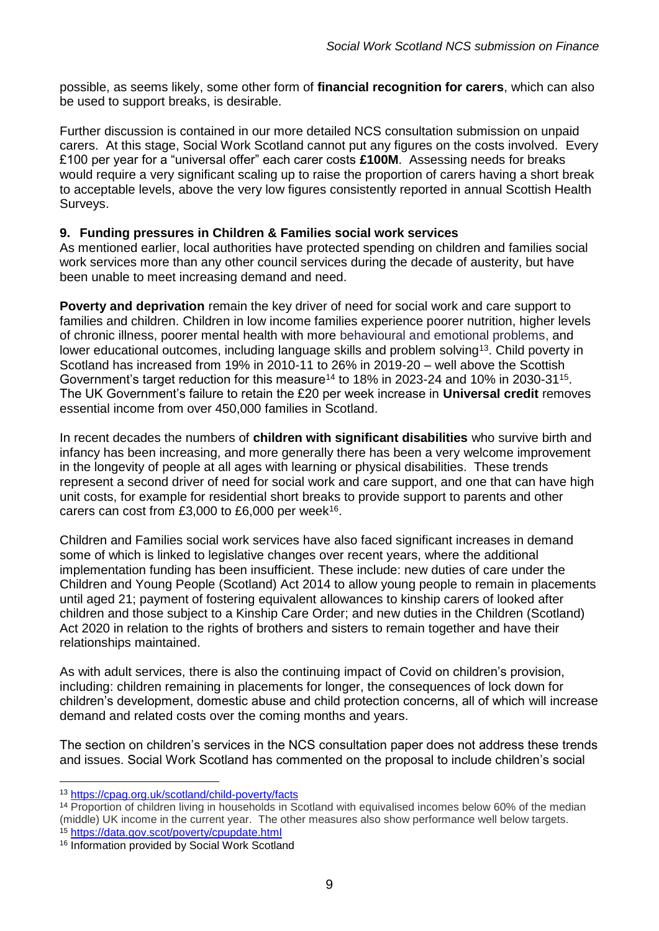possible, as seems likely, some other form of **financial recognition for carers**, which can also be used to support breaks, is desirable.

Further discussion is contained in our more detailed NCS consultation submission on unpaid carers. At this stage, Social Work Scotland cannot put any figures on the costs involved. Every £100 per year for a "universal offer" each carer costs **£100M**. Assessing needs for breaks would require a very significant scaling up to raise the proportion of carers having a short break to acceptable levels, above the very low figures consistently reported in annual Scottish Health Surveys.

#### **9. Funding pressures in Children & Families social work services**

As mentioned earlier, local authorities have protected spending on children and families social work services more than any other council services during the decade of austerity, but have been unable to meet increasing demand and need.

**Poverty and deprivation** remain the key driver of need for social work and care support to families and children. Children in low income families experience poorer nutrition, higher levels of chronic illness, poorer mental health with more behavioural and emotional problems, and lower educational outcomes, including language skills and problem solving<sup>13</sup>. Child poverty in Scotland has increased from 19% in 2010-11 to 26% in 2019-20 – well above the Scottish Government's target reduction for this measure<sup>14</sup> to 18% in 2023-24 and 10% in 2030-31<sup>15</sup>. The UK Government's failure to retain the £20 per week increase in **Universal credit** removes essential income from over 450,000 families in Scotland.

In recent decades the numbers of **children with significant disabilities** who survive birth and infancy has been increasing, and more generally there has been a very welcome improvement in the longevity of people at all ages with learning or physical disabilities. These trends represent a second driver of need for social work and care support, and one that can have high unit costs, for example for residential short breaks to provide support to parents and other carers can cost from £3,000 to £6,000 per week<sup>16</sup>.

Children and Families social work services have also faced significant increases in demand some of which is linked to legislative changes over recent years, where the additional implementation funding has been insufficient. These include: new duties of care under the Children and Young People (Scotland) Act 2014 to allow young people to remain in placements until aged 21; payment of fostering equivalent allowances to kinship carers of looked after children and those subject to a Kinship Care Order; and new duties in the Children (Scotland) Act 2020 in relation to the rights of brothers and sisters to remain together and have their relationships maintained.

As with adult services, there is also the continuing impact of Covid on children's provision, including: children remaining in placements for longer, the consequences of lock down for children's development, domestic abuse and child protection concerns, all of which will increase demand and related costs over the coming months and years.

The section on children's services in the NCS consultation paper does not address these trends and issues. Social Work Scotland has commented on the proposal to include children's social

<sup>13</sup> [https://cpag.org.uk/scotland/child-poverty/facts](about:blank)

<sup>14</sup> Proportion of children living in households in Scotland with equivalised incomes below 60% of the median (middle) UK income in the current year. The other measures also show performance well below targets.

<sup>15</sup> [https://data.gov.scot/poverty/cpupdate.html](about:blank)

<sup>16</sup> Information provided by Social Work Scotland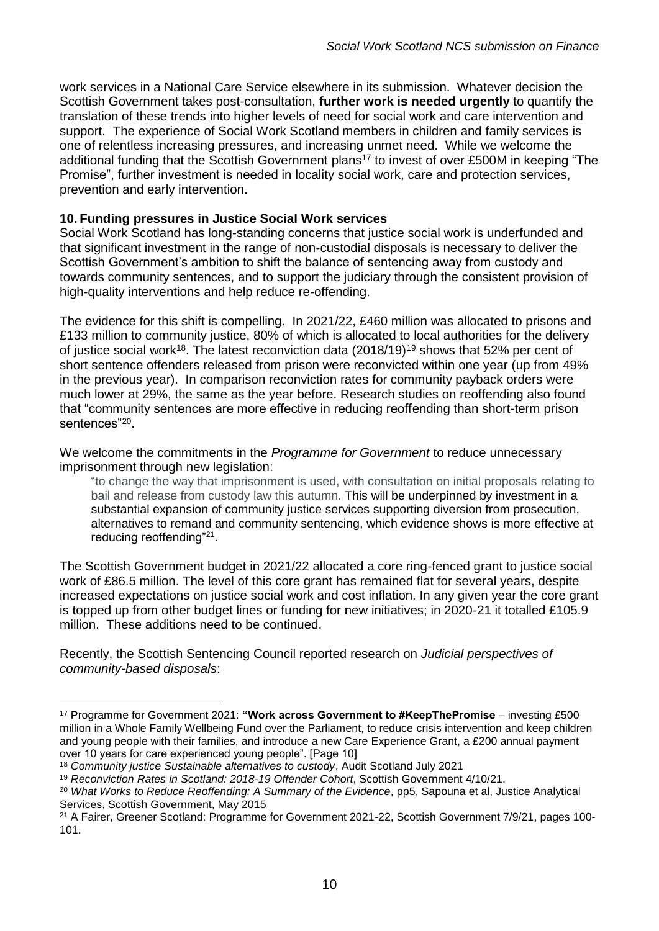work services in a National Care Service elsewhere in its submission. Whatever decision the Scottish Government takes post-consultation, **further work is needed urgently** to quantify the translation of these trends into higher levels of need for social work and care intervention and support. The experience of Social Work Scotland members in children and family services is one of relentless increasing pressures, and increasing unmet need. While we welcome the additional funding that the Scottish Government plans<sup>17</sup> to invest of over £500M in keeping "The Promise", further investment is needed in locality social work, care and protection services, prevention and early intervention.

#### **10. Funding pressures in Justice Social Work services**

Social Work Scotland has long-standing concerns that justice social work is underfunded and that significant investment in the range of non-custodial disposals is necessary to deliver the Scottish Government's ambition to shift the balance of sentencing away from custody and towards community sentences, and to support the judiciary through the consistent provision of high-quality interventions and help reduce re-offending.

The evidence for this shift is compelling. In 2021/22, £460 million was allocated to prisons and £133 million to community justice, 80% of which is allocated to local authorities for the delivery of justice social work<sup>18</sup>. The latest reconviction data (2018/19)<sup>19</sup> shows that 52% per cent of short sentence offenders released from prison were reconvicted within one year (up from 49% in the previous year). In comparison reconviction rates for community payback orders were much lower at 29%, the same as the year before. Research studies on reoffending also found that "community sentences are more effective in reducing reoffending than short-term prison sentences"<sup>20</sup>.

We welcome the commitments in the *Programme for Government* to reduce unnecessary imprisonment through new legislation:

"to change the way that imprisonment is used, with consultation on initial proposals relating to bail and release from custody law this autumn. This will be underpinned by investment in a substantial expansion of community justice services supporting diversion from prosecution, alternatives to remand and community sentencing, which evidence shows is more effective at reducing reoffending"<sup>21</sup>.

The Scottish Government budget in 2021/22 allocated a core ring-fenced grant to justice social work of £86.5 million. The level of this core grant has remained flat for several years, despite increased expectations on justice social work and cost inflation. In any given year the core grant is topped up from other budget lines or funding for new initiatives; in 2020-21 it totalled £105.9 million. These additions need to be continued.

Recently, the Scottish Sentencing Council reported research on *Judicial perspectives of community-based disposals*:

<sup>17</sup> Programme for Government 2021: **"Work across Government to #KeepThePromise** – investing £500 million in a Whole Family Wellbeing Fund over the Parliament, to reduce crisis intervention and keep children and young people with their families, and introduce a new Care Experience Grant, a £200 annual payment over 10 years for care experienced young people". [Page 10]

<sup>18</sup> *Community justice Sustainable alternatives to custody*, Audit Scotland July 2021

<sup>19</sup> *Reconviction Rates in Scotland: 2018-19 Offender Cohort*, Scottish Government 4/10/21.

<sup>20</sup> *What Works to Reduce Reoffending: A Summary of the Evidence*, pp5, Sapouna et al, Justice Analytical Services, Scottish Government, May 2015

<sup>21</sup> A Fairer, Greener Scotland: Programme for Government 2021-22, Scottish Government 7/9/21, pages 100- 101.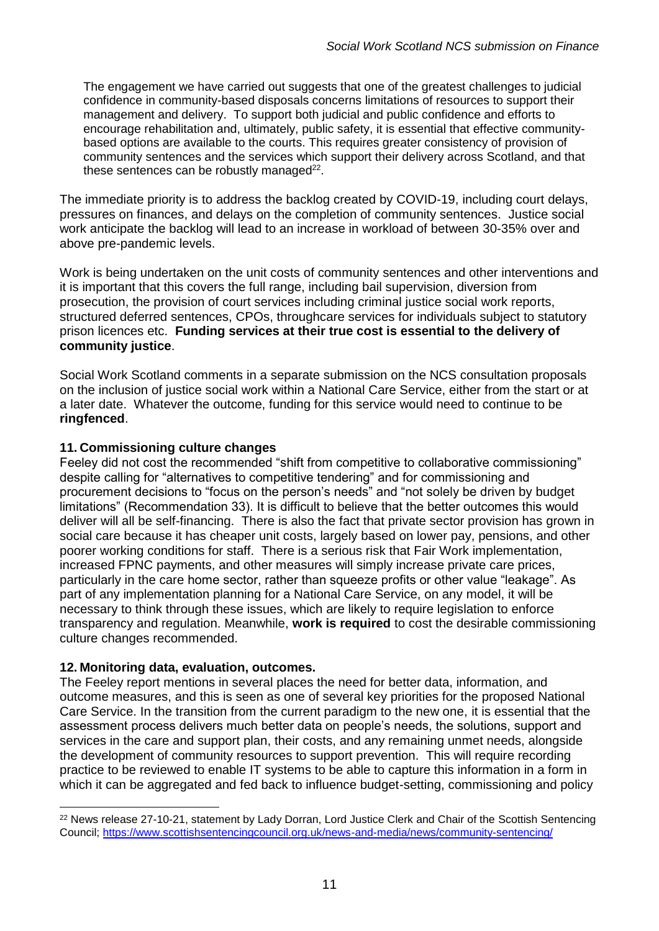The engagement we have carried out suggests that one of the greatest challenges to judicial confidence in community-based disposals concerns limitations of resources to support their management and delivery. To support both judicial and public confidence and efforts to encourage rehabilitation and, ultimately, public safety, it is essential that effective communitybased options are available to the courts. This requires greater consistency of provision of community sentences and the services which support their delivery across Scotland, and that these sentences can be robustly managed $^{22}$ .

The immediate priority is to address the backlog created by COVID-19, including court delays, pressures on finances, and delays on the completion of community sentences. Justice social work anticipate the backlog will lead to an increase in workload of between 30-35% over and above pre-pandemic levels.

Work is being undertaken on the unit costs of community sentences and other interventions and it is important that this covers the full range, including bail supervision, diversion from prosecution, the provision of court services including criminal justice social work reports, structured deferred sentences, CPOs, throughcare services for individuals subject to statutory prison licences etc. **Funding services at their true cost is essential to the delivery of community justice**.

Social Work Scotland comments in a separate submission on the NCS consultation proposals on the inclusion of justice social work within a National Care Service, either from the start or at a later date. Whatever the outcome, funding for this service would need to continue to be **ringfenced**.

#### **11. Commissioning culture changes**

Feeley did not cost the recommended "shift from competitive to collaborative commissioning" despite calling for "alternatives to competitive tendering" and for commissioning and procurement decisions to "focus on the person's needs" and "not solely be driven by budget limitations" (Recommendation 33). It is difficult to believe that the better outcomes this would deliver will all be self-financing. There is also the fact that private sector provision has grown in social care because it has cheaper unit costs, largely based on lower pay, pensions, and other poorer working conditions for staff. There is a serious risk that Fair Work implementation, increased FPNC payments, and other measures will simply increase private care prices, particularly in the care home sector, rather than squeeze profits or other value "leakage". As part of any implementation planning for a National Care Service, on any model, it will be necessary to think through these issues, which are likely to require legislation to enforce transparency and regulation. Meanwhile, **work is required** to cost the desirable commissioning culture changes recommended.

#### **12. Monitoring data, evaluation, outcomes.**

The Feeley report mentions in several places the need for better data, information, and outcome measures, and this is seen as one of several key priorities for the proposed National Care Service. In the transition from the current paradigm to the new one, it is essential that the assessment process delivers much better data on people's needs, the solutions, support and services in the care and support plan, their costs, and any remaining unmet needs, alongside the development of community resources to support prevention. This will require recording practice to be reviewed to enable IT systems to be able to capture this information in a form in which it can be aggregated and fed back to influence budget-setting, commissioning and policy

 $\overline{a}$ <sup>22</sup> News release 27-10-21, statement by Lady Dorran, Lord Justice Clerk and Chair of the Scottish Sentencing Council;<https://www.scottishsentencingcouncil.org.uk/news-and-media/news/community-sentencing/>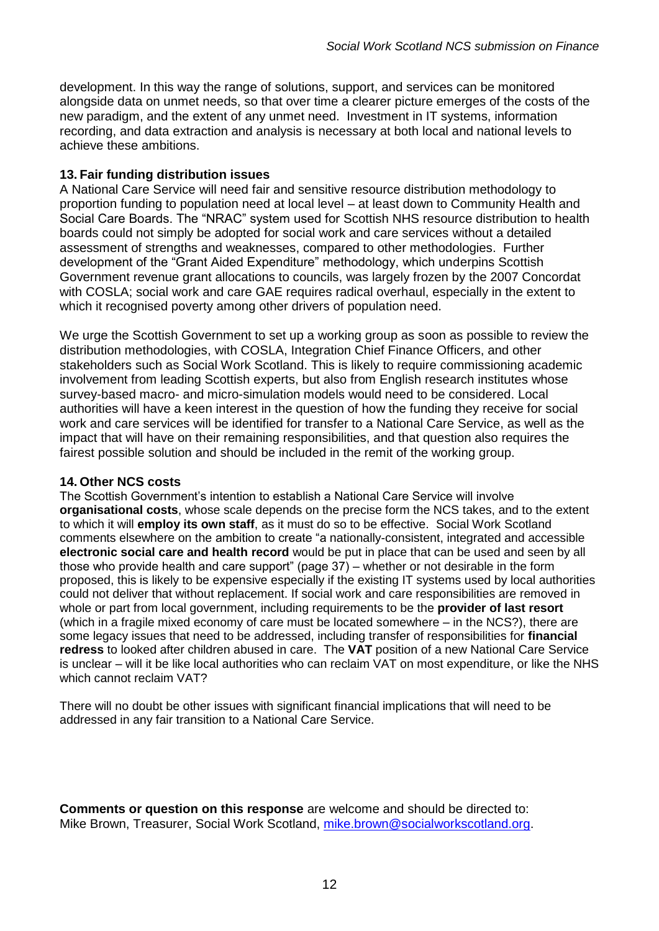development. In this way the range of solutions, support, and services can be monitored alongside data on unmet needs, so that over time a clearer picture emerges of the costs of the new paradigm, and the extent of any unmet need. Investment in IT systems, information recording, and data extraction and analysis is necessary at both local and national levels to achieve these ambitions.

#### **13. Fair funding distribution issues**

A National Care Service will need fair and sensitive resource distribution methodology to proportion funding to population need at local level – at least down to Community Health and Social Care Boards. The "NRAC" system used for Scottish NHS resource distribution to health boards could not simply be adopted for social work and care services without a detailed assessment of strengths and weaknesses, compared to other methodologies. Further development of the "Grant Aided Expenditure" methodology, which underpins Scottish Government revenue grant allocations to councils, was largely frozen by the 2007 Concordat with COSLA; social work and care GAE requires radical overhaul, especially in the extent to which it recognised poverty among other drivers of population need.

We urge the Scottish Government to set up a working group as soon as possible to review the distribution methodologies, with COSLA, Integration Chief Finance Officers, and other stakeholders such as Social Work Scotland. This is likely to require commissioning academic involvement from leading Scottish experts, but also from English research institutes whose survey-based macro- and micro-simulation models would need to be considered. Local authorities will have a keen interest in the question of how the funding they receive for social work and care services will be identified for transfer to a National Care Service, as well as the impact that will have on their remaining responsibilities, and that question also requires the fairest possible solution and should be included in the remit of the working group.

#### **14. Other NCS costs**

The Scottish Government's intention to establish a National Care Service will involve **organisational costs**, whose scale depends on the precise form the NCS takes, and to the extent to which it will **employ its own staff**, as it must do so to be effective. Social Work Scotland comments elsewhere on the ambition to create "a nationally-consistent, integrated and accessible **electronic social care and health record** would be put in place that can be used and seen by all those who provide health and care support" (page 37) – whether or not desirable in the form proposed, this is likely to be expensive especially if the existing IT systems used by local authorities could not deliver that without replacement. If social work and care responsibilities are removed in whole or part from local government, including requirements to be the **provider of last resort** (which in a fragile mixed economy of care must be located somewhere – in the NCS?), there are some legacy issues that need to be addressed, including transfer of responsibilities for **financial redress** to looked after children abused in care. The **VAT** position of a new National Care Service is unclear – will it be like local authorities who can reclaim VAT on most expenditure, or like the NHS which cannot reclaim VAT?

There will no doubt be other issues with significant financial implications that will need to be addressed in any fair transition to a National Care Service.

**Comments or question on this response** are welcome and should be directed to: Mike Brown, Treasurer, Social Work Scotland, [mike.brown@socialworkscotland.org.](about:blank)